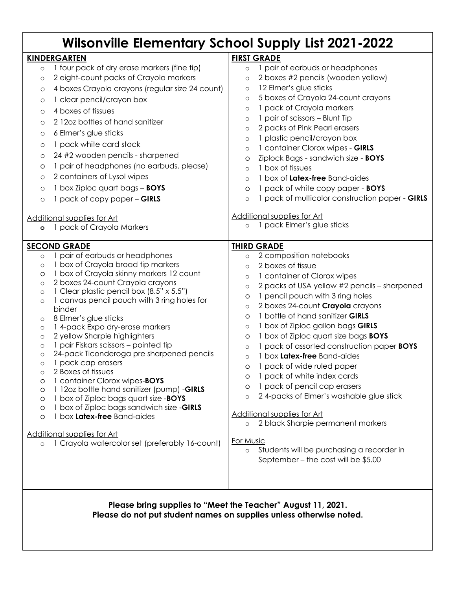| <b>Wilsonville Elementary School Supply List 2021-2022</b>                                                                                                                                                                                                                                                                                                                                                                                                                                                                                                                                                                                                                                                                                                                                                                                                                                                                                                                       |                                                                                                                                                                                                                                                                                                                                                                                                                                                                                                                                                                                                                                                                                                                                                                                                                                                                                  |
|----------------------------------------------------------------------------------------------------------------------------------------------------------------------------------------------------------------------------------------------------------------------------------------------------------------------------------------------------------------------------------------------------------------------------------------------------------------------------------------------------------------------------------------------------------------------------------------------------------------------------------------------------------------------------------------------------------------------------------------------------------------------------------------------------------------------------------------------------------------------------------------------------------------------------------------------------------------------------------|----------------------------------------------------------------------------------------------------------------------------------------------------------------------------------------------------------------------------------------------------------------------------------------------------------------------------------------------------------------------------------------------------------------------------------------------------------------------------------------------------------------------------------------------------------------------------------------------------------------------------------------------------------------------------------------------------------------------------------------------------------------------------------------------------------------------------------------------------------------------------------|
| <b>KINDERGARTEN</b><br>1 four pack of dry erase markers (fine tip)<br>$\circ$<br>2 eight-count packs of Crayola markers<br>$\circ$<br>4 boxes Crayola crayons (regular size 24 count)<br>$\circ$<br>1 clear pencil/crayon box<br>$\circ$<br>4 boxes of tissues<br>$\circ$<br>212oz bottles of hand sanitizer<br>$\circ$<br>6 Elmer's glue sticks<br>$\circ$<br>1 pack white card stock<br>$\circ$<br>24 #2 wooden pencils - sharpened<br>$\circ$<br>1 pair of headphones (no earbuds, please)<br>O                                                                                                                                                                                                                                                                                                                                                                                                                                                                               | <b>FIRST GRADE</b><br>1 pair of earbuds or headphones<br>$\circ$<br>2 boxes #2 pencils (wooden yellow)<br>$\circ$<br>12 Elmer's glue sticks<br>$\circ$<br>5 boxes of Crayola 24-count crayons<br>$\circ$<br>1 pack of Crayola markers<br>$\circ$<br>1 pair of scissors - Blunt Tip<br>$\circ$<br>2 packs of Pink Pearl erasers<br>$\circ$<br>1 plastic pencil/crayon box<br>$\circ$<br>1 container Clorox wipes - GIRLS<br>$\circ$<br>Ziplock Bags - sandwich size - BOYS<br>O<br>1 box of tissues<br>$\circ$                                                                                                                                                                                                                                                                                                                                                                    |
| 2 containers of Lysol wipes<br>$\circ$<br>1 box Ziploc quart bags - BOYS<br>$\circ$<br>1 pack of copy paper - GIRLS<br>$\circ$<br>Additional supplies for Art<br>1 pack of Crayola Markers<br>$\circ$                                                                                                                                                                                                                                                                                                                                                                                                                                                                                                                                                                                                                                                                                                                                                                            | 1 box of Latex-free Band-aides<br>$\circ$<br>1 pack of white copy paper - BOYS<br>O<br>1 pack of multicolor construction paper - GIRLS<br>$\circ$<br>Additional supplies for Art<br>1 pack Elmer's glue sticks<br>$\circ$                                                                                                                                                                                                                                                                                                                                                                                                                                                                                                                                                                                                                                                        |
| <b>SECOND GRADE</b><br>pair of earbuds or headphones<br>$\circ$<br>1 box of Crayola broad tip markers<br>$\circ$<br>1 box of Crayola skinny markers 12 count<br>O<br>2 boxes 24-count Crayola crayons<br>$\circ$<br>1 Clear plastic pencil box (8.5" x 5.5")<br>$\circ$<br>1 canvas pencil pouch with 3 ring holes for<br>$\circ$<br>binder<br>8 Elmer's glue sticks<br>$\circ$<br>1 4-pack Expo dry-erase markers<br>$\circ$<br>2 yellow Sharpie highlighters<br>$\circ$<br>1 pair Fiskars scissors - pointed tip<br>$\circ$<br>24-pack Ticonderoga pre sharpened pencils<br>$\circ$<br>1 pack cap erasers<br>$\circ$<br>2 Boxes of tissues<br>$\circ$<br>1 container Clorox wipes-BOYS<br>O<br>1 12oz bottle hand sanitizer (pump) -GIRLS<br>O<br>1 box of Ziploc bags quart size -BOYS<br>O<br>1 box of Ziploc bags sandwich size -GIRLS<br>O<br>1 box Latex-free Band-aides<br>O<br>Additional supplies for Art<br>1 Crayola watercolor set (preferably 16-count)<br>$\circ$ | <b>THIRD GRADE</b><br>2 composition notebooks<br>$\circ$<br>2 boxes of tissue<br>$\circ$<br>1 container of Clorox wipes<br>$\circ$<br>2 packs of USA yellow #2 pencils - sharpened<br>$\circ$<br>1 pencil pouch with 3 ring holes<br>O<br>2 boxes 24-count Crayola crayons<br>$\circ$<br>1 bottle of hand sanitizer GIRLS<br>O<br>1 box of Ziploc gallon bags GIRLS<br>$\circ$<br>1 box of Ziploc quart size bags <b>BOYS</b><br>O<br>1 pack of assorted construction paper BOYS<br>$\circ$<br>1 box Latex-free Band-aides<br>$\circ$<br>1 pack of wide ruled paper<br>1 pack of white index cards<br>O<br>1 pack of pencil cap erasers<br>O<br>24-packs of Elmer's washable glue stick<br>$\circ$<br><b>Additional supplies for Art</b><br>o 2 black Sharpie permanent markers<br>For Music<br>Students will be purchasing a recorder in<br>September - the cost will be \$5.00 |
| Please bring supplies to "Meet the Teacher" August 11, 2021.<br>Please do not put student names on supplies unless otherwise noted.                                                                                                                                                                                                                                                                                                                                                                                                                                                                                                                                                                                                                                                                                                                                                                                                                                              |                                                                                                                                                                                                                                                                                                                                                                                                                                                                                                                                                                                                                                                                                                                                                                                                                                                                                  |